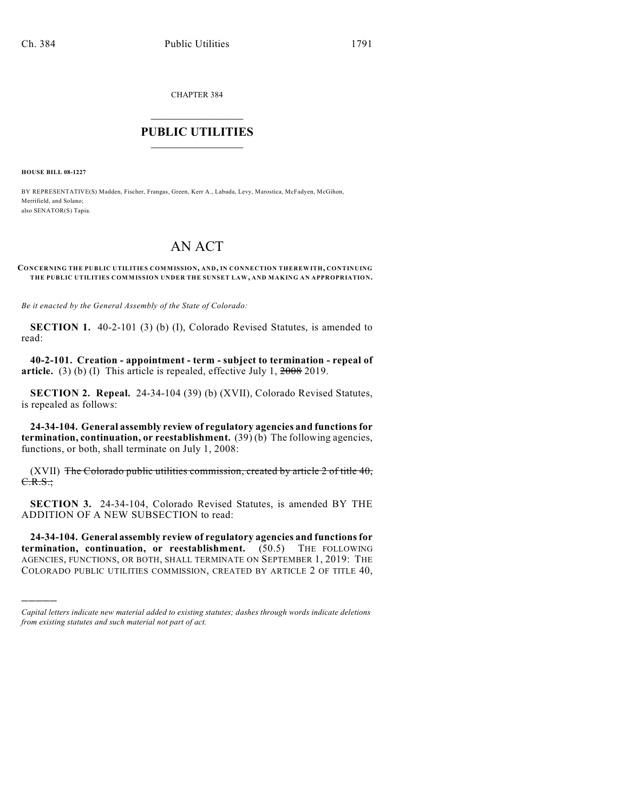CHAPTER 384

# $\mathcal{L}_\text{max}$  . The set of the set of the set of the set of the set of the set of the set of the set of the set of the set of the set of the set of the set of the set of the set of the set of the set of the set of the set **PUBLIC UTILITIES** \_\_\_\_\_\_\_\_\_\_\_\_\_\_\_

**HOUSE BILL 08-1227**

)))))

BY REPRESENTATIVE(S) Madden, Fischer, Frangas, Green, Kerr A., Labuda, Levy, Marostica, McFadyen, McGihon, Merrifield, and Solano; also SENATOR(S) Tapia.

# AN ACT

#### **CONCERNING THE PUBLIC UTILITIES COMMISSION, AND, IN CONNECTION THEREWITH, CONTINUING THE PUBLIC UTILITIES COMMISSION UNDER THE SUNSET LAW, AND MAKING AN APPROPRIATION.**

*Be it enacted by the General Assembly of the State of Colorado:*

**SECTION 1.** 40-2-101 (3) (b) (I), Colorado Revised Statutes, is amended to read:

**40-2-101. Creation - appointment - term - subject to termination - repeal of article.** (3) (b) (I) This article is repealed, effective July 1, 2008 2019.

**SECTION 2. Repeal.** 24-34-104 (39) (b) (XVII), Colorado Revised Statutes, is repealed as follows:

**24-34-104. General assembly review of regulatory agencies and functions for termination, continuation, or reestablishment.** (39) (b) The following agencies, functions, or both, shall terminate on July 1, 2008:

 $(XVII)$  The Colorado public utilities commission, created by article 2 of title 40, C.R.S.;

**SECTION 3.** 24-34-104, Colorado Revised Statutes, is amended BY THE ADDITION OF A NEW SUBSECTION to read:

**24-34-104. General assembly review of regulatory agencies and functions for termination, continuation, or reestablishment.** (50.5) THE FOLLOWING AGENCIES, FUNCTIONS, OR BOTH, SHALL TERMINATE ON SEPTEMBER 1, 2019: THE COLORADO PUBLIC UTILITIES COMMISSION, CREATED BY ARTICLE 2 OF TITLE 40,

*Capital letters indicate new material added to existing statutes; dashes through words indicate deletions from existing statutes and such material not part of act.*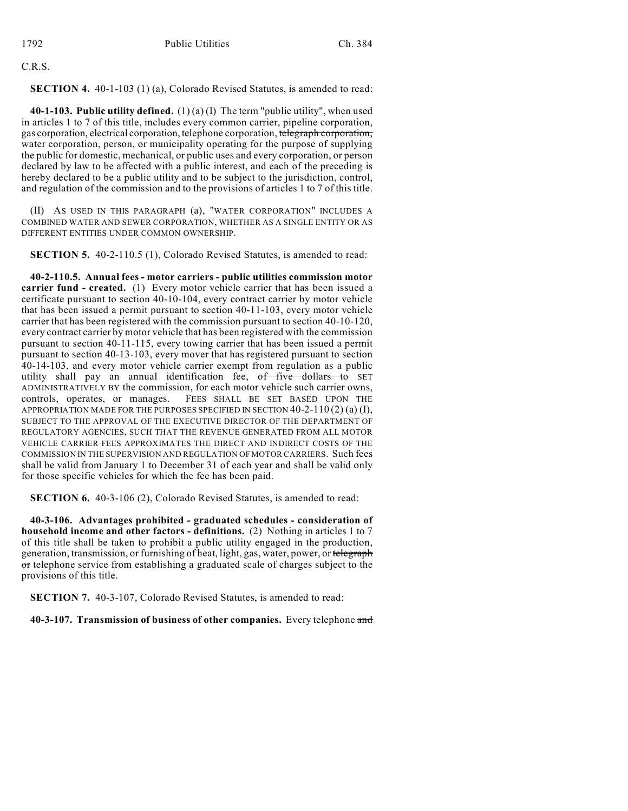C.R.S.

**SECTION 4.** 40-1-103 (1) (a), Colorado Revised Statutes, is amended to read:

**40-1-103. Public utility defined.** (1) (a) (I) The term "public utility", when used in articles 1 to 7 of this title, includes every common carrier, pipeline corporation, gas corporation, electrical corporation, telephone corporation, telegraph corporation, water corporation, person, or municipality operating for the purpose of supplying the public for domestic, mechanical, or public uses and every corporation, or person declared by law to be affected with a public interest, and each of the preceding is hereby declared to be a public utility and to be subject to the jurisdiction, control, and regulation of the commission and to the provisions of articles 1 to 7 of this title.

(II) AS USED IN THIS PARAGRAPH (a), "WATER CORPORATION" INCLUDES A COMBINED WATER AND SEWER CORPORATION, WHETHER AS A SINGLE ENTITY OR AS DIFFERENT ENTITIES UNDER COMMON OWNERSHIP.

**SECTION 5.** 40-2-110.5 (1), Colorado Revised Statutes, is amended to read:

**40-2-110.5. Annual fees - motor carriers - public utilities commission motor carrier fund - created.** (1) Every motor vehicle carrier that has been issued a certificate pursuant to section 40-10-104, every contract carrier by motor vehicle that has been issued a permit pursuant to section 40-11-103, every motor vehicle carrier that has been registered with the commission pursuant to section 40-10-120, every contract carrier by motor vehicle that has been registered with the commission pursuant to section 40-11-115, every towing carrier that has been issued a permit pursuant to section 40-13-103, every mover that has registered pursuant to section 40-14-103, and every motor vehicle carrier exempt from regulation as a public utility shall pay an annual identification fee, of five dollars to SET ADMINISTRATIVELY BY the commission, for each motor vehicle such carrier owns, controls, operates, or manages. FEES SHALL BE SET BASED UPON THE APPROPRIATION MADE FOR THE PURPOSES SPECIFIED IN SECTION  $40-2-110(2)(a)(I)$ , SUBJECT TO THE APPROVAL OF THE EXECUTIVE DIRECTOR OF THE DEPARTMENT OF REGULATORY AGENCIES, SUCH THAT THE REVENUE GENERATED FROM ALL MOTOR VEHICLE CARRIER FEES APPROXIMATES THE DIRECT AND INDIRECT COSTS OF THE COMMISSION IN THE SUPERVISION AND REGULATION OF MOTOR CARRIERS. Such fees shall be valid from January 1 to December 31 of each year and shall be valid only for those specific vehicles for which the fee has been paid.

**SECTION 6.** 40-3-106 (2), Colorado Revised Statutes, is amended to read:

**40-3-106. Advantages prohibited - graduated schedules - consideration of household income and other factors - definitions.** (2) Nothing in articles 1 to 7 of this title shall be taken to prohibit a public utility engaged in the production, generation, transmission, or furnishing of heat, light, gas, water, power, or telegraph or telephone service from establishing a graduated scale of charges subject to the provisions of this title.

**SECTION 7.** 40-3-107, Colorado Revised Statutes, is amended to read:

**40-3-107. Transmission of business of other companies.** Every telephone and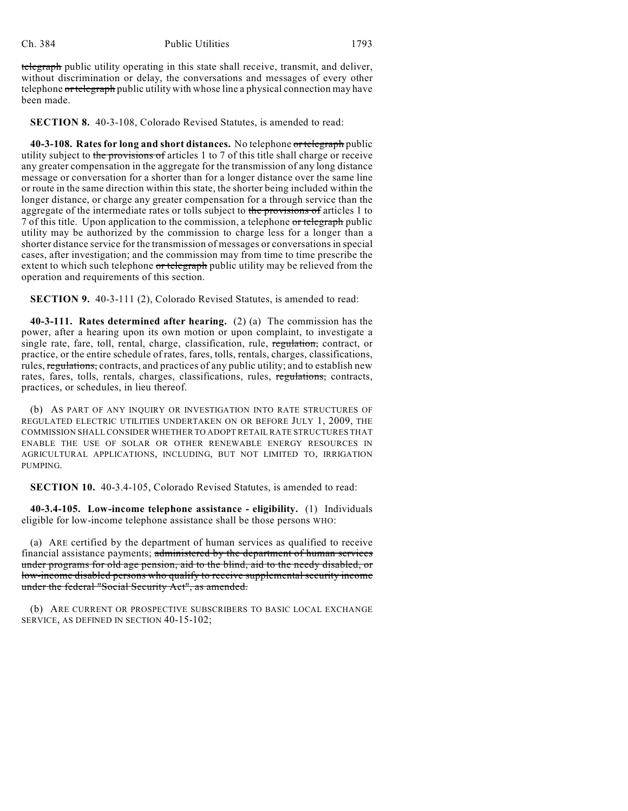telegraph public utility operating in this state shall receive, transmit, and deliver, without discrimination or delay, the conversations and messages of every other telephone or telegraph public utility with whose line a physical connection may have been made.

**SECTION 8.** 40-3-108, Colorado Revised Statutes, is amended to read:

**40-3-108. Rates for long and short distances.** No telephone or telegraph public utility subject to the provisions of articles 1 to 7 of this title shall charge or receive any greater compensation in the aggregate for the transmission of any long distance message or conversation for a shorter than for a longer distance over the same line or route in the same direction within this state, the shorter being included within the longer distance, or charge any greater compensation for a through service than the aggregate of the intermediate rates or tolls subject to the provisions of articles 1 to 7 of this title. Upon application to the commission, a telephone or telegraph public utility may be authorized by the commission to charge less for a longer than a shorter distance service for the transmission of messages or conversations in special cases, after investigation; and the commission may from time to time prescribe the extent to which such telephone or telegraph public utility may be relieved from the operation and requirements of this section.

**SECTION 9.** 40-3-111 (2), Colorado Revised Statutes, is amended to read:

**40-3-111. Rates determined after hearing.** (2) (a) The commission has the power, after a hearing upon its own motion or upon complaint, to investigate a single rate, fare, toll, rental, charge, classification, rule, regulation, contract, or practice, or the entire schedule of rates, fares, tolls, rentals, charges, classifications, rules, regulations, contracts, and practices of any public utility; and to establish new rates, fares, tolls, rentals, charges, classifications, rules, regulations, contracts, practices, or schedules, in lieu thereof.

(b) AS PART OF ANY INQUIRY OR INVESTIGATION INTO RATE STRUCTURES OF REGULATED ELECTRIC UTILITIES UNDERTAKEN ON OR BEFORE JULY 1, 2009, THE COMMISSION SHALL CONSIDER WHETHER TO ADOPT RETAIL RATE STRUCTURES THAT ENABLE THE USE OF SOLAR OR OTHER RENEWABLE ENERGY RESOURCES IN AGRICULTURAL APPLICATIONS, INCLUDING, BUT NOT LIMITED TO, IRRIGATION PUMPING.

**SECTION 10.** 40-3.4-105, Colorado Revised Statutes, is amended to read:

**40-3.4-105. Low-income telephone assistance - eligibility.** (1) Individuals eligible for low-income telephone assistance shall be those persons WHO:

(a) ARE certified by the department of human services as qualified to receive financial assistance payments; administered by the department of human services under programs for old age pension, aid to the blind, aid to the needy disabled, or low-income disabled persons who qualify to receive supplemental security income under the federal "Social Security Act", as amended.

(b) ARE CURRENT OR PROSPECTIVE SUBSCRIBERS TO BASIC LOCAL EXCHANGE SERVICE, AS DEFINED IN SECTION 40-15-102;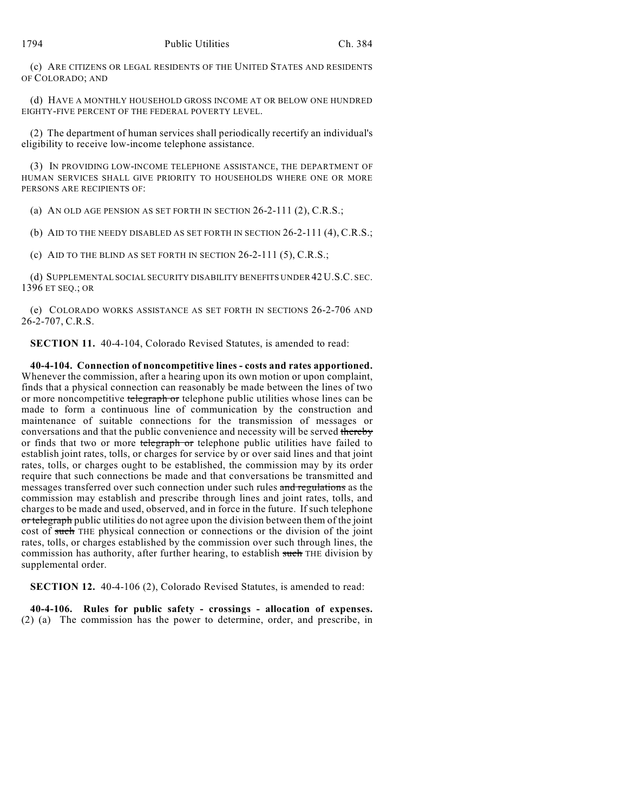(c) ARE CITIZENS OR LEGAL RESIDENTS OF THE UNITED STATES AND RESIDENTS OF COLORADO; AND

(d) HAVE A MONTHLY HOUSEHOLD GROSS INCOME AT OR BELOW ONE HUNDRED EIGHTY-FIVE PERCENT OF THE FEDERAL POVERTY LEVEL.

(2) The department of human services shall periodically recertify an individual's eligibility to receive low-income telephone assistance.

(3) IN PROVIDING LOW-INCOME TELEPHONE ASSISTANCE, THE DEPARTMENT OF HUMAN SERVICES SHALL GIVE PRIORITY TO HOUSEHOLDS WHERE ONE OR MORE PERSONS ARE RECIPIENTS OF:

(a) AN OLD AGE PENSION AS SET FORTH IN SECTION 26-2-111 (2), C.R.S.;

(b) AID TO THE NEEDY DISABLED AS SET FORTH IN SECTION 26-2-111 (4), C.R.S.;

(c) AID TO THE BLIND AS SET FORTH IN SECTION 26-2-111 (5), C.R.S.;

(d) SUPPLEMENTAL SOCIAL SECURITY DISABILITY BENEFITS UNDER 42 U.S.C. SEC. 1396 ET SEQ.; OR

(e) COLORADO WORKS ASSISTANCE AS SET FORTH IN SECTIONS 26-2-706 AND 26-2-707, C.R.S.

**SECTION 11.** 40-4-104, Colorado Revised Statutes, is amended to read:

**40-4-104. Connection of noncompetitive lines - costs and rates apportioned.** Whenever the commission, after a hearing upon its own motion or upon complaint, finds that a physical connection can reasonably be made between the lines of two or more noncompetitive telegraph or telephone public utilities whose lines can be made to form a continuous line of communication by the construction and maintenance of suitable connections for the transmission of messages or conversations and that the public convenience and necessity will be served thereby or finds that two or more telegraph or telephone public utilities have failed to establish joint rates, tolls, or charges for service by or over said lines and that joint rates, tolls, or charges ought to be established, the commission may by its order require that such connections be made and that conversations be transmitted and messages transferred over such connection under such rules and regulations as the commission may establish and prescribe through lines and joint rates, tolls, and charges to be made and used, observed, and in force in the future. If such telephone or telegraph public utilities do not agree upon the division between them of the joint cost of such THE physical connection or connections or the division of the joint rates, tolls, or charges established by the commission over such through lines, the commission has authority, after further hearing, to establish such THE division by supplemental order.

**SECTION 12.** 40-4-106 (2), Colorado Revised Statutes, is amended to read:

**40-4-106. Rules for public safety - crossings - allocation of expenses.** (2) (a) The commission has the power to determine, order, and prescribe, in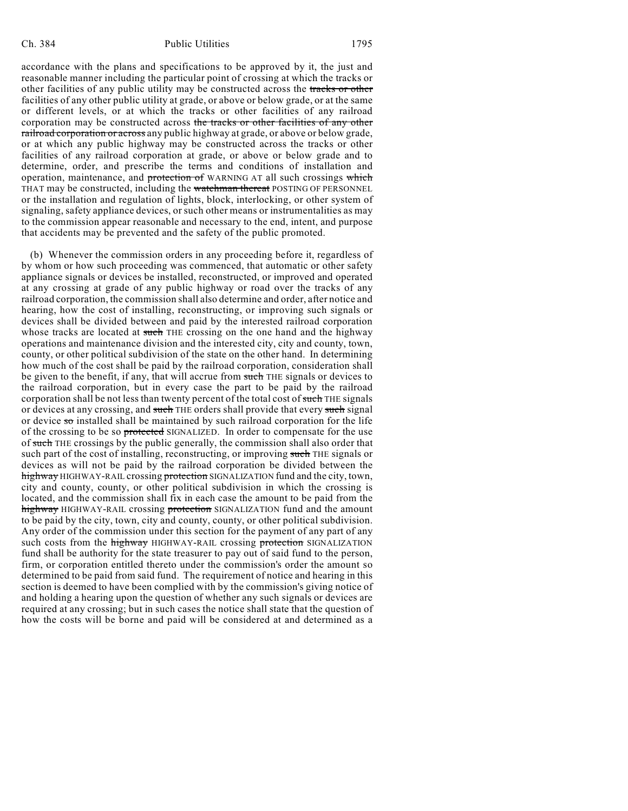accordance with the plans and specifications to be approved by it, the just and reasonable manner including the particular point of crossing at which the tracks or other facilities of any public utility may be constructed across the tracks or other facilities of any other public utility at grade, or above or below grade, or at the same or different levels, or at which the tracks or other facilities of any railroad corporation may be constructed across the tracks or other facilities of any other railroad corporation or across any public highway at grade, or above or below grade, or at which any public highway may be constructed across the tracks or other facilities of any railroad corporation at grade, or above or below grade and to determine, order, and prescribe the terms and conditions of installation and operation, maintenance, and protection of WARNING AT all such crossings which THAT may be constructed, including the watchman thereat POSTING OF PERSONNEL or the installation and regulation of lights, block, interlocking, or other system of signaling, safety appliance devices, or such other means or instrumentalities as may to the commission appear reasonable and necessary to the end, intent, and purpose that accidents may be prevented and the safety of the public promoted.

(b) Whenever the commission orders in any proceeding before it, regardless of by whom or how such proceeding was commenced, that automatic or other safety appliance signals or devices be installed, reconstructed, or improved and operated at any crossing at grade of any public highway or road over the tracks of any railroad corporation, the commission shall also determine and order, after notice and hearing, how the cost of installing, reconstructing, or improving such signals or devices shall be divided between and paid by the interested railroad corporation whose tracks are located at such THE crossing on the one hand and the highway operations and maintenance division and the interested city, city and county, town, county, or other political subdivision of the state on the other hand. In determining how much of the cost shall be paid by the railroad corporation, consideration shall be given to the benefit, if any, that will accrue from such THE signals or devices to the railroad corporation, but in every case the part to be paid by the railroad corporation shall be not less than twenty percent of the total cost of such THE signals or devices at any crossing, and such THE orders shall provide that every such signal or device  $\overline{\mathbf{so}}$  installed shall be maintained by such railroad corporation for the life of the crossing to be so protected SIGNALIZED. In order to compensate for the use of such THE crossings by the public generally, the commission shall also order that such part of the cost of installing, reconstructing, or improving such THE signals or devices as will not be paid by the railroad corporation be divided between the highway HIGHWAY-RAIL crossing protection SIGNALIZATION fund and the city, town, city and county, county, or other political subdivision in which the crossing is located, and the commission shall fix in each case the amount to be paid from the highway HIGHWAY-RAIL crossing protection SIGNALIZATION fund and the amount to be paid by the city, town, city and county, county, or other political subdivision. Any order of the commission under this section for the payment of any part of any such costs from the highway HIGHWAY-RAIL crossing protection SIGNALIZATION fund shall be authority for the state treasurer to pay out of said fund to the person, firm, or corporation entitled thereto under the commission's order the amount so determined to be paid from said fund. The requirement of notice and hearing in this section is deemed to have been complied with by the commission's giving notice of and holding a hearing upon the question of whether any such signals or devices are required at any crossing; but in such cases the notice shall state that the question of how the costs will be borne and paid will be considered at and determined as a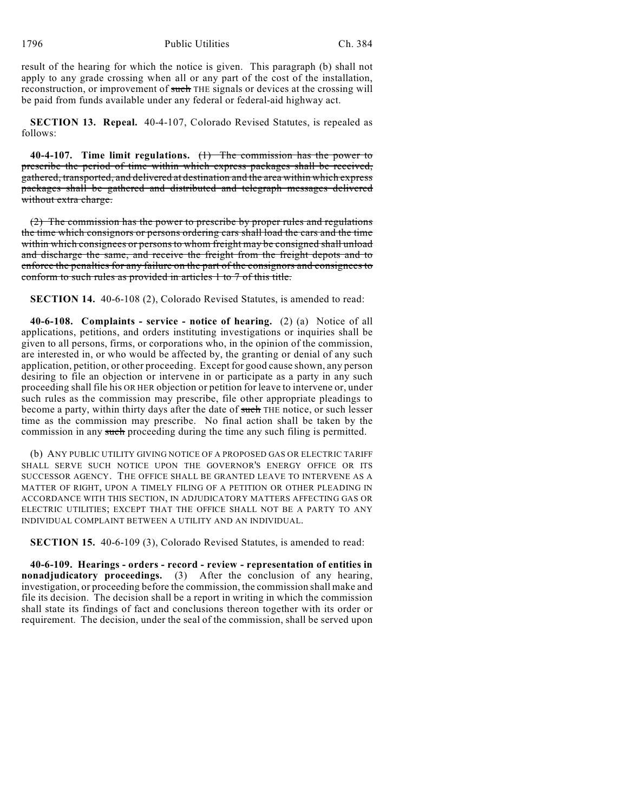result of the hearing for which the notice is given. This paragraph (b) shall not apply to any grade crossing when all or any part of the cost of the installation, reconstruction, or improvement of such THE signals or devices at the crossing will be paid from funds available under any federal or federal-aid highway act.

**SECTION 13. Repeal.** 40-4-107, Colorado Revised Statutes, is repealed as follows:

**40-4-107. Time limit regulations.** (1) The commission has the power to prescribe the period of time within which express packages shall be received, gathered, transported, and delivered at destination and the area within which express packages shall be gathered and distributed and telegraph messages delivered without extra charge.

(2) The commission has the power to prescribe by proper rules and regulations the time which consignors or persons ordering cars shall load the cars and the time within which consignees or persons to whom freight may be consigned shall unload and discharge the same, and receive the freight from the freight depots and to enforce the penalties for any failure on the part of the consignors and consignees to conform to such rules as provided in articles 1 to 7 of this title.

**SECTION 14.** 40-6-108 (2), Colorado Revised Statutes, is amended to read:

**40-6-108. Complaints - service - notice of hearing.** (2) (a) Notice of all applications, petitions, and orders instituting investigations or inquiries shall be given to all persons, firms, or corporations who, in the opinion of the commission, are interested in, or who would be affected by, the granting or denial of any such application, petition, or other proceeding. Except for good cause shown, any person desiring to file an objection or intervene in or participate as a party in any such proceeding shall file his OR HER objection or petition for leave to intervene or, under such rules as the commission may prescribe, file other appropriate pleadings to become a party, within thirty days after the date of such THE notice, or such lesser time as the commission may prescribe. No final action shall be taken by the commission in any such proceeding during the time any such filing is permitted.

(b) ANY PUBLIC UTILITY GIVING NOTICE OF A PROPOSED GAS OR ELECTRIC TARIFF SHALL SERVE SUCH NOTICE UPON THE GOVERNOR'S ENERGY OFFICE OR ITS SUCCESSOR AGENCY. THE OFFICE SHALL BE GRANTED LEAVE TO INTERVENE AS A MATTER OF RIGHT, UPON A TIMELY FILING OF A PETITION OR OTHER PLEADING IN ACCORDANCE WITH THIS SECTION, IN ADJUDICATORY MATTERS AFFECTING GAS OR ELECTRIC UTILITIES; EXCEPT THAT THE OFFICE SHALL NOT BE A PARTY TO ANY INDIVIDUAL COMPLAINT BETWEEN A UTILITY AND AN INDIVIDUAL.

**SECTION 15.** 40-6-109 (3), Colorado Revised Statutes, is amended to read:

**40-6-109. Hearings - orders - record - review - representation of entities in nonadjudicatory proceedings.** (3) After the conclusion of any hearing, investigation, or proceeding before the commission, the commission shall make and file its decision. The decision shall be a report in writing in which the commission shall state its findings of fact and conclusions thereon together with its order or requirement. The decision, under the seal of the commission, shall be served upon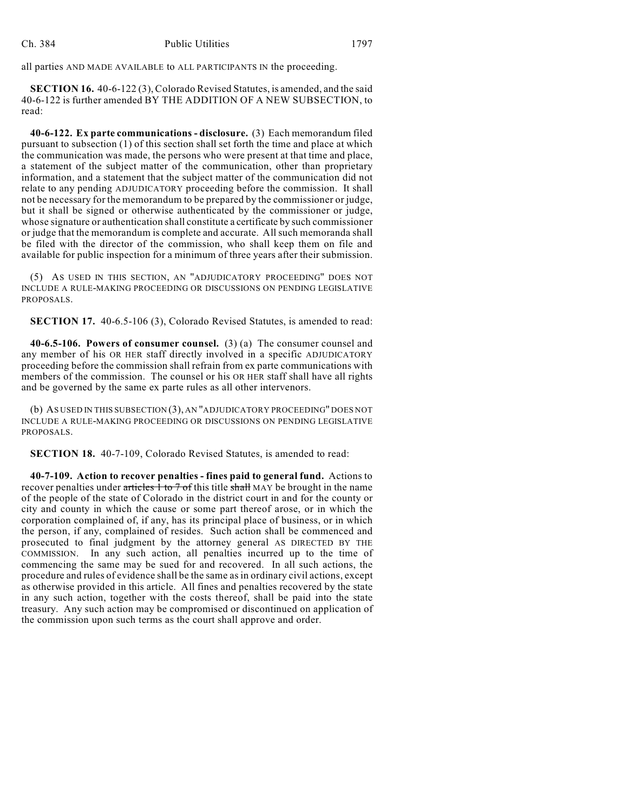all parties AND MADE AVAILABLE to ALL PARTICIPANTS IN the proceeding.

**SECTION 16.** 40-6-122 (3), Colorado Revised Statutes, is amended, and the said 40-6-122 is further amended BY THE ADDITION OF A NEW SUBSECTION, to read:

**40-6-122. Ex parte communications - disclosure.** (3) Each memorandum filed pursuant to subsection (1) of this section shall set forth the time and place at which the communication was made, the persons who were present at that time and place, a statement of the subject matter of the communication, other than proprietary information, and a statement that the subject matter of the communication did not relate to any pending ADJUDICATORY proceeding before the commission. It shall not be necessary for the memorandum to be prepared by the commissioner or judge, but it shall be signed or otherwise authenticated by the commissioner or judge, whose signature or authentication shall constitute a certificate by such commissioner or judge that the memorandum is complete and accurate. All such memoranda shall be filed with the director of the commission, who shall keep them on file and available for public inspection for a minimum of three years after their submission.

(5) AS USED IN THIS SECTION, AN "ADJUDICATORY PROCEEDING" DOES NOT INCLUDE A RULE-MAKING PROCEEDING OR DISCUSSIONS ON PENDING LEGISLATIVE PROPOSALS.

**SECTION 17.** 40-6.5-106 (3), Colorado Revised Statutes, is amended to read:

**40-6.5-106. Powers of consumer counsel.** (3) (a) The consumer counsel and any member of his OR HER staff directly involved in a specific ADJUDICATORY proceeding before the commission shall refrain from ex parte communications with members of the commission. The counsel or his OR HER staff shall have all rights and be governed by the same ex parte rules as all other intervenors.

(b) AS USED IN THIS SUBSECTION (3), AN "ADJUDICATORY PROCEEDING" DOES NOT INCLUDE A RULE-MAKING PROCEEDING OR DISCUSSIONS ON PENDING LEGISLATIVE PROPOSALS.

**SECTION 18.** 40-7-109, Colorado Revised Statutes, is amended to read:

**40-7-109. Action to recover penalties - fines paid to general fund.** Actions to recover penalties under articles 1 to 7 of this title shall MAY be brought in the name of the people of the state of Colorado in the district court in and for the county or city and county in which the cause or some part thereof arose, or in which the corporation complained of, if any, has its principal place of business, or in which the person, if any, complained of resides. Such action shall be commenced and prosecuted to final judgment by the attorney general AS DIRECTED BY THE COMMISSION. In any such action, all penalties incurred up to the time of commencing the same may be sued for and recovered. In all such actions, the procedure and rules of evidence shall be the same as in ordinary civil actions, except as otherwise provided in this article. All fines and penalties recovered by the state in any such action, together with the costs thereof, shall be paid into the state treasury. Any such action may be compromised or discontinued on application of the commission upon such terms as the court shall approve and order.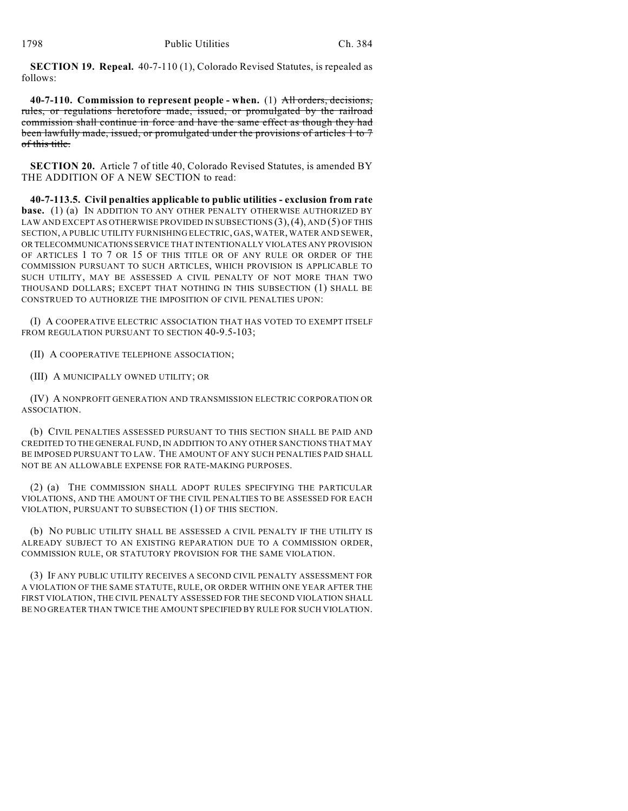**SECTION 19. Repeal.** 40-7-110 (1), Colorado Revised Statutes, is repealed as follows:

**40-7-110. Commission to represent people - when.** (1) All orders, decisions, rules, or regulations heretofore made, issued, or promulgated by the railroad commission shall continue in force and have the same effect as though they had been lawfully made, issued, or promulgated under the provisions of articles 1 to 7 of this title.

**SECTION 20.** Article 7 of title 40, Colorado Revised Statutes, is amended BY THE ADDITION OF A NEW SECTION to read:

**40-7-113.5. Civil penalties applicable to public utilities - exclusion from rate base.** (1) (a) IN ADDITION TO ANY OTHER PENALTY OTHERWISE AUTHORIZED BY LAW AND EXCEPT AS OTHERWISE PROVIDED IN SUBSECTIONS (3),(4), AND (5) OF THIS SECTION, A PUBLIC UTILITY FURNISHING ELECTRIC, GAS, WATER, WATER AND SEWER, OR TELECOMMUNICATIONS SERVICE THAT INTENTIONALLY VIOLATES ANY PROVISION OF ARTICLES 1 TO 7 OR 15 OF THIS TITLE OR OF ANY RULE OR ORDER OF THE COMMISSION PURSUANT TO SUCH ARTICLES, WHICH PROVISION IS APPLICABLE TO SUCH UTILITY, MAY BE ASSESSED A CIVIL PENALTY OF NOT MORE THAN TWO THOUSAND DOLLARS; EXCEPT THAT NOTHING IN THIS SUBSECTION (1) SHALL BE CONSTRUED TO AUTHORIZE THE IMPOSITION OF CIVIL PENALTIES UPON:

(I) A COOPERATIVE ELECTRIC ASSOCIATION THAT HAS VOTED TO EXEMPT ITSELF FROM REGULATION PURSUANT TO SECTION 40-9.5-103;

(II) A COOPERATIVE TELEPHONE ASSOCIATION;

(III) A MUNICIPALLY OWNED UTILITY; OR

(IV) A NONPROFIT GENERATION AND TRANSMISSION ELECTRIC CORPORATION OR ASSOCIATION.

(b) CIVIL PENALTIES ASSESSED PURSUANT TO THIS SECTION SHALL BE PAID AND CREDITED TO THE GENERAL FUND, IN ADDITION TO ANY OTHER SANCTIONS THAT MAY BE IMPOSED PURSUANT TO LAW. THE AMOUNT OF ANY SUCH PENALTIES PAID SHALL NOT BE AN ALLOWABLE EXPENSE FOR RATE-MAKING PURPOSES.

(2) (a) THE COMMISSION SHALL ADOPT RULES SPECIFYING THE PARTICULAR VIOLATIONS, AND THE AMOUNT OF THE CIVIL PENALTIES TO BE ASSESSED FOR EACH VIOLATION, PURSUANT TO SUBSECTION (1) OF THIS SECTION.

(b) NO PUBLIC UTILITY SHALL BE ASSESSED A CIVIL PENALTY IF THE UTILITY IS ALREADY SUBJECT TO AN EXISTING REPARATION DUE TO A COMMISSION ORDER, COMMISSION RULE, OR STATUTORY PROVISION FOR THE SAME VIOLATION.

(3) IF ANY PUBLIC UTILITY RECEIVES A SECOND CIVIL PENALTY ASSESSMENT FOR A VIOLATION OF THE SAME STATUTE, RULE, OR ORDER WITHIN ONE YEAR AFTER THE FIRST VIOLATION, THE CIVIL PENALTY ASSESSED FOR THE SECOND VIOLATION SHALL BE NO GREATER THAN TWICE THE AMOUNT SPECIFIED BY RULE FOR SUCH VIOLATION.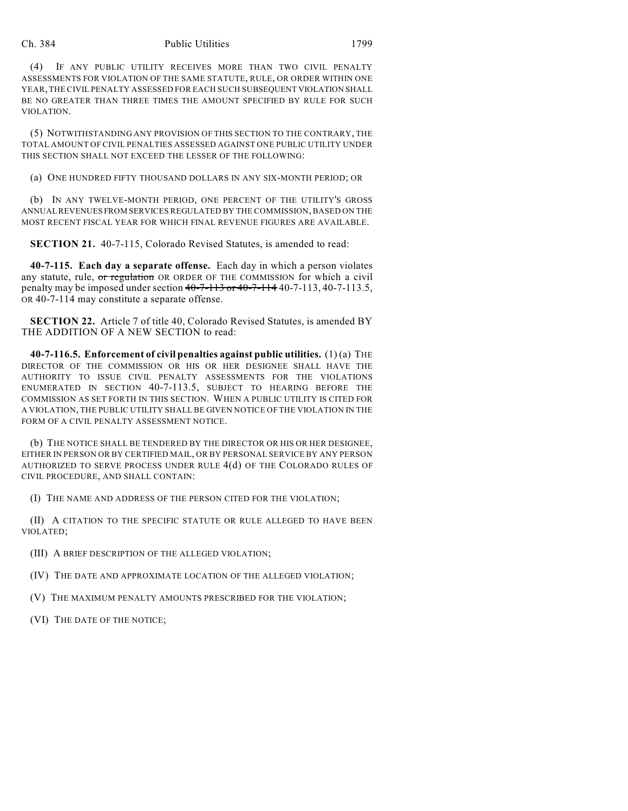## Ch. 384 Public Utilities 1799

(4) IF ANY PUBLIC UTILITY RECEIVES MORE THAN TWO CIVIL PENALTY ASSESSMENTS FOR VIOLATION OF THE SAME STATUTE, RULE, OR ORDER WITHIN ONE YEAR, THE CIVIL PENALTY ASSESSED FOR EACH SUCH SUBSEQUENT VIOLATION SHALL BE NO GREATER THAN THREE TIMES THE AMOUNT SPECIFIED BY RULE FOR SUCH VIOLATION.

(5) NOTWITHSTANDING ANY PROVISION OF THIS SECTION TO THE CONTRARY, THE TOTAL AMOUNT OF CIVIL PENALTIES ASSESSED AGAINST ONE PUBLIC UTILITY UNDER THIS SECTION SHALL NOT EXCEED THE LESSER OF THE FOLLOWING:

(a) ONE HUNDRED FIFTY THOUSAND DOLLARS IN ANY SIX-MONTH PERIOD; OR

(b) IN ANY TWELVE-MONTH PERIOD, ONE PERCENT OF THE UTILITY'S GROSS ANNUAL REVENUES FROM SERVICES REGULATED BY THE COMMISSION, BASED ON THE MOST RECENT FISCAL YEAR FOR WHICH FINAL REVENUE FIGURES ARE AVAILABLE.

**SECTION 21.** 40-7-115, Colorado Revised Statutes, is amended to read:

**40-7-115. Each day a separate offense.** Each day in which a person violates any statute, rule, or regulation OR ORDER OF THE COMMISSION for which a civil penalty may be imposed under section 40-7-113 or 40-7-114 40-7-113, 40-7-113.5, OR 40-7-114 may constitute a separate offense.

**SECTION 22.** Article 7 of title 40, Colorado Revised Statutes, is amended BY THE ADDITION OF A NEW SECTION to read:

**40-7-116.5. Enforcement of civil penalties against public utilities.** (1) (a) THE DIRECTOR OF THE COMMISSION OR HIS OR HER DESIGNEE SHALL HAVE THE AUTHORITY TO ISSUE CIVIL PENALTY ASSESSMENTS FOR THE VIOLATIONS ENUMERATED IN SECTION 40-7-113.5, SUBJECT TO HEARING BEFORE THE COMMISSION AS SET FORTH IN THIS SECTION. WHEN A PUBLIC UTILITY IS CITED FOR A VIOLATION, THE PUBLIC UTILITY SHALL BE GIVEN NOTICE OF THE VIOLATION IN THE FORM OF A CIVIL PENALTY ASSESSMENT NOTICE.

(b) THE NOTICE SHALL BE TENDERED BY THE DIRECTOR OR HIS OR HER DESIGNEE, EITHER IN PERSON OR BY CERTIFIED MAIL, OR BY PERSONAL SERVICE BY ANY PERSON AUTHORIZED TO SERVE PROCESS UNDER RULE 4(d) OF THE COLORADO RULES OF CIVIL PROCEDURE, AND SHALL CONTAIN:

(I) THE NAME AND ADDRESS OF THE PERSON CITED FOR THE VIOLATION;

(II) A CITATION TO THE SPECIFIC STATUTE OR RULE ALLEGED TO HAVE BEEN VIOLATED;

(III) A BRIEF DESCRIPTION OF THE ALLEGED VIOLATION;

(IV) THE DATE AND APPROXIMATE LOCATION OF THE ALLEGED VIOLATION;

(V) THE MAXIMUM PENALTY AMOUNTS PRESCRIBED FOR THE VIOLATION;

(VI) THE DATE OF THE NOTICE;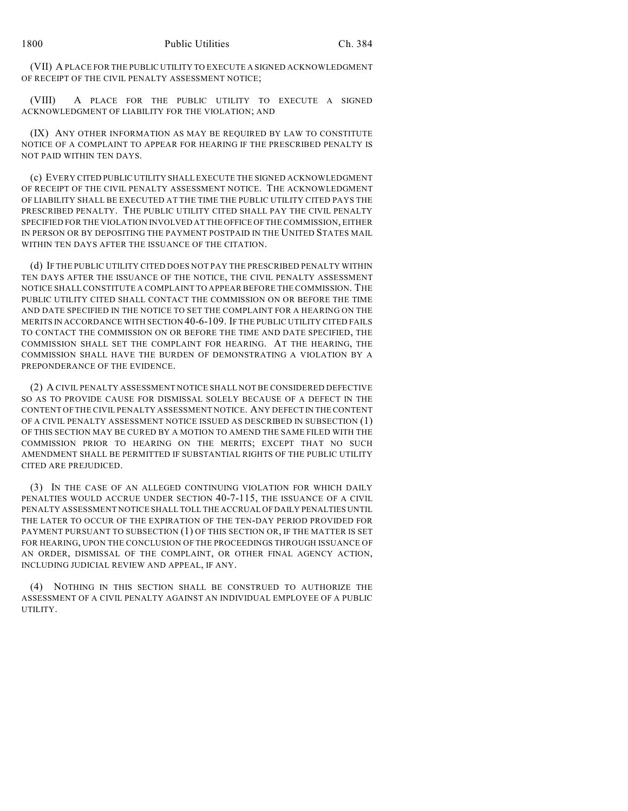(VII) A PLACE FOR THE PUBLIC UTILITY TO EXECUTE A SIGNED ACKNOWLEDGMENT OF RECEIPT OF THE CIVIL PENALTY ASSESSMENT NOTICE;

(VIII) A PLACE FOR THE PUBLIC UTILITY TO EXECUTE A SIGNED ACKNOWLEDGMENT OF LIABILITY FOR THE VIOLATION; AND

(IX) ANY OTHER INFORMATION AS MAY BE REQUIRED BY LAW TO CONSTITUTE NOTICE OF A COMPLAINT TO APPEAR FOR HEARING IF THE PRESCRIBED PENALTY IS NOT PAID WITHIN TEN DAYS.

(c) EVERY CITED PUBLIC UTILITY SHALL EXECUTE THE SIGNED ACKNOWLEDGMENT OF RECEIPT OF THE CIVIL PENALTY ASSESSMENT NOTICE. THE ACKNOWLEDGMENT OF LIABILITY SHALL BE EXECUTED AT THE TIME THE PUBLIC UTILITY CITED PAYS THE PRESCRIBED PENALTY. THE PUBLIC UTILITY CITED SHALL PAY THE CIVIL PENALTY SPECIFIED FOR THE VIOLATION INVOLVED AT THE OFFICE OF THE COMMISSION, EITHER IN PERSON OR BY DEPOSITING THE PAYMENT POSTPAID IN THE UNITED STATES MAIL WITHIN TEN DAYS AFTER THE ISSUANCE OF THE CITATION.

(d) IF THE PUBLIC UTILITY CITED DOES NOT PAY THE PRESCRIBED PENALTY WITHIN TEN DAYS AFTER THE ISSUANCE OF THE NOTICE, THE CIVIL PENALTY ASSESSMENT NOTICE SHALL CONSTITUTE A COMPLAINT TO APPEAR BEFORE THE COMMISSION. THE PUBLIC UTILITY CITED SHALL CONTACT THE COMMISSION ON OR BEFORE THE TIME AND DATE SPECIFIED IN THE NOTICE TO SET THE COMPLAINT FOR A HEARING ON THE MERITS IN ACCORDANCE WITH SECTION 40-6-109. IF THE PUBLIC UTILITY CITED FAILS TO CONTACT THE COMMISSION ON OR BEFORE THE TIME AND DATE SPECIFIED, THE COMMISSION SHALL SET THE COMPLAINT FOR HEARING. AT THE HEARING, THE COMMISSION SHALL HAVE THE BURDEN OF DEMONSTRATING A VIOLATION BY A PREPONDERANCE OF THE EVIDENCE.

(2) A CIVIL PENALTY ASSESSMENT NOTICE SHALL NOT BE CONSIDERED DEFECTIVE SO AS TO PROVIDE CAUSE FOR DISMISSAL SOLELY BECAUSE OF A DEFECT IN THE CONTENT OF THE CIVIL PENALTY ASSESSMENT NOTICE. ANY DEFECT IN THE CONTENT OF A CIVIL PENALTY ASSESSMENT NOTICE ISSUED AS DESCRIBED IN SUBSECTION (1) OF THIS SECTION MAY BE CURED BY A MOTION TO AMEND THE SAME FILED WITH THE COMMISSION PRIOR TO HEARING ON THE MERITS; EXCEPT THAT NO SUCH AMENDMENT SHALL BE PERMITTED IF SUBSTANTIAL RIGHTS OF THE PUBLIC UTILITY CITED ARE PREJUDICED.

(3) IN THE CASE OF AN ALLEGED CONTINUING VIOLATION FOR WHICH DAILY PENALTIES WOULD ACCRUE UNDER SECTION 40-7-115, THE ISSUANCE OF A CIVIL PENALTY ASSESSMENT NOTICE SHALL TOLL THE ACCRUAL OF DAILY PENALTIES UNTIL THE LATER TO OCCUR OF THE EXPIRATION OF THE TEN-DAY PERIOD PROVIDED FOR PAYMENT PURSUANT TO SUBSECTION (1) OF THIS SECTION OR, IF THE MATTER IS SET FOR HEARING, UPON THE CONCLUSION OF THE PROCEEDINGS THROUGH ISSUANCE OF AN ORDER, DISMISSAL OF THE COMPLAINT, OR OTHER FINAL AGENCY ACTION, INCLUDING JUDICIAL REVIEW AND APPEAL, IF ANY.

(4) NOTHING IN THIS SECTION SHALL BE CONSTRUED TO AUTHORIZE THE ASSESSMENT OF A CIVIL PENALTY AGAINST AN INDIVIDUAL EMPLOYEE OF A PUBLIC UTILITY.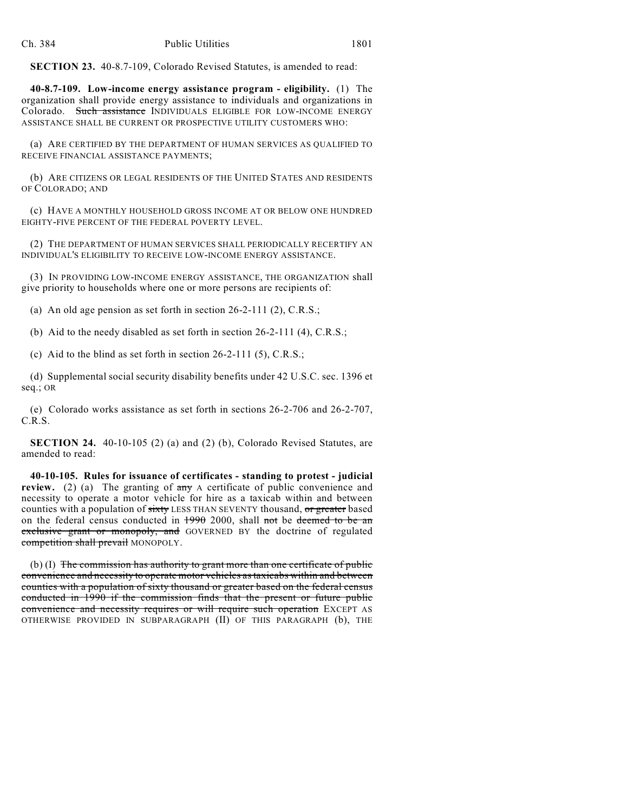**SECTION 23.** 40-8.7-109, Colorado Revised Statutes, is amended to read:

**40-8.7-109. Low-income energy assistance program - eligibility.** (1) The organization shall provide energy assistance to individuals and organizations in Colorado. Such assistance INDIVIDUALS ELIGIBLE FOR LOW-INCOME ENERGY ASSISTANCE SHALL BE CURRENT OR PROSPECTIVE UTILITY CUSTOMERS WHO:

(a) ARE CERTIFIED BY THE DEPARTMENT OF HUMAN SERVICES AS QUALIFIED TO RECEIVE FINANCIAL ASSISTANCE PAYMENTS;

(b) ARE CITIZENS OR LEGAL RESIDENTS OF THE UNITED STATES AND RESIDENTS OF COLORADO; AND

(c) HAVE A MONTHLY HOUSEHOLD GROSS INCOME AT OR BELOW ONE HUNDRED EIGHTY-FIVE PERCENT OF THE FEDERAL POVERTY LEVEL.

(2) THE DEPARTMENT OF HUMAN SERVICES SHALL PERIODICALLY RECERTIFY AN INDIVIDUAL'S ELIGIBILITY TO RECEIVE LOW-INCOME ENERGY ASSISTANCE.

(3) IN PROVIDING LOW-INCOME ENERGY ASSISTANCE, THE ORGANIZATION shall give priority to households where one or more persons are recipients of:

(a) An old age pension as set forth in section 26-2-111 (2), C.R.S.;

(b) Aid to the needy disabled as set forth in section 26-2-111 (4), C.R.S.;

(c) Aid to the blind as set forth in section 26-2-111 (5), C.R.S.;

(d) Supplemental social security disability benefits under 42 U.S.C. sec. 1396 et seq.; OR

(e) Colorado works assistance as set forth in sections 26-2-706 and 26-2-707, C.R.S.

**SECTION 24.** 40-10-105 (2) (a) and (2) (b), Colorado Revised Statutes, are amended to read:

**40-10-105. Rules for issuance of certificates - standing to protest - judicial review.** (2) (a) The granting of  $\frac{\text{any}}{\text{any}}$  A certificate of public convenience and necessity to operate a motor vehicle for hire as a taxicab within and between counties with a population of sixty LESS THAN SEVENTY thousand, or greater based on the federal census conducted in  $1990$  2000, shall not be deemed to be an exclusive grant or monopoly, and GOVERNED BY the doctrine of regulated competition shall prevail MONOPOLY.

(b) (I) The commission has authority to grant more than one certificate of public convenience and necessity to operate motor vehicles as taxicabs within and between counties with a population of sixty thousand or greater based on the federal census conducted in 1990 if the commission finds that the present or future public convenience and necessity requires or will require such operation EXCEPT AS OTHERWISE PROVIDED IN SUBPARAGRAPH (II) OF THIS PARAGRAPH (b), THE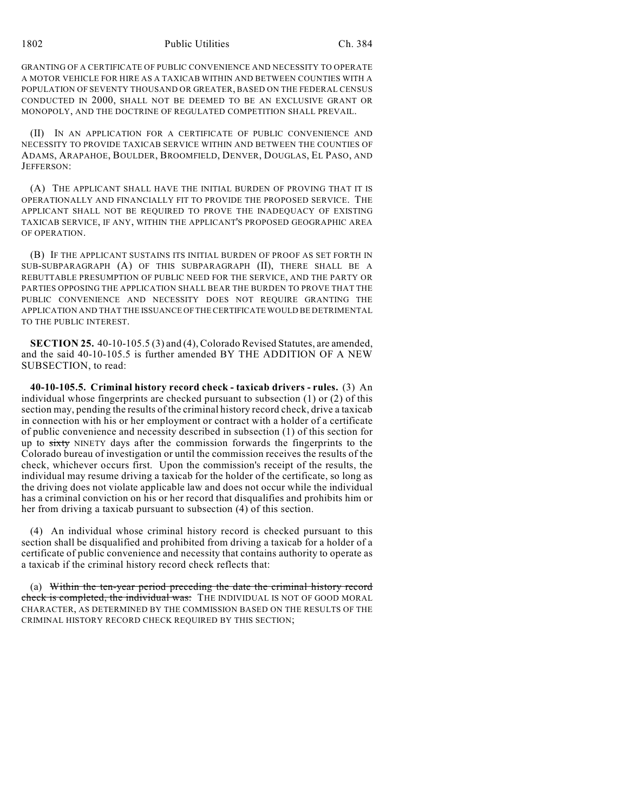1802 Public Utilities Ch. 384

GRANTING OF A CERTIFICATE OF PUBLIC CONVENIENCE AND NECESSITY TO OPERATE A MOTOR VEHICLE FOR HIRE AS A TAXICAB WITHIN AND BETWEEN COUNTIES WITH A POPULATION OF SEVENTY THOUSAND OR GREATER, BASED ON THE FEDERAL CENSUS CONDUCTED IN 2000, SHALL NOT BE DEEMED TO BE AN EXCLUSIVE GRANT OR MONOPOLY, AND THE DOCTRINE OF REGULATED COMPETITION SHALL PREVAIL.

(II) IN AN APPLICATION FOR A CERTIFICATE OF PUBLIC CONVENIENCE AND NECESSITY TO PROVIDE TAXICAB SERVICE WITHIN AND BETWEEN THE COUNTIES OF ADAMS, ARAPAHOE, BOULDER, BROOMFIELD, DENVER, DOUGLAS, EL PASO, AND JEFFERSON:

(A) THE APPLICANT SHALL HAVE THE INITIAL BURDEN OF PROVING THAT IT IS OPERATIONALLY AND FINANCIALLY FIT TO PROVIDE THE PROPOSED SERVICE. THE APPLICANT SHALL NOT BE REQUIRED TO PROVE THE INADEQUACY OF EXISTING TAXICAB SERVICE, IF ANY, WITHIN THE APPLICANT'S PROPOSED GEOGRAPHIC AREA OF OPERATION.

(B) IF THE APPLICANT SUSTAINS ITS INITIAL BURDEN OF PROOF AS SET FORTH IN SUB-SUBPARAGRAPH (A) OF THIS SUBPARAGRAPH (II), THERE SHALL BE A REBUTTABLE PRESUMPTION OF PUBLIC NEED FOR THE SERVICE, AND THE PARTY OR PARTIES OPPOSING THE APPLICATION SHALL BEAR THE BURDEN TO PROVE THAT THE PUBLIC CONVENIENCE AND NECESSITY DOES NOT REQUIRE GRANTING THE APPLICATION AND THAT THE ISSUANCE OF THE CERTIFICATE WOULD BE DETRIMENTAL TO THE PUBLIC INTEREST.

**SECTION 25.** 40-10-105.5 (3) and (4), Colorado Revised Statutes, are amended, and the said 40-10-105.5 is further amended BY THE ADDITION OF A NEW SUBSECTION, to read:

**40-10-105.5. Criminal history record check - taxicab drivers - rules.** (3) An individual whose fingerprints are checked pursuant to subsection (1) or (2) of this section may, pending the results of the criminal history record check, drive a taxicab in connection with his or her employment or contract with a holder of a certificate of public convenience and necessity described in subsection (1) of this section for up to sixty NINETY days after the commission forwards the fingerprints to the Colorado bureau of investigation or until the commission receives the results of the check, whichever occurs first. Upon the commission's receipt of the results, the individual may resume driving a taxicab for the holder of the certificate, so long as the driving does not violate applicable law and does not occur while the individual has a criminal conviction on his or her record that disqualifies and prohibits him or her from driving a taxicab pursuant to subsection (4) of this section.

(4) An individual whose criminal history record is checked pursuant to this section shall be disqualified and prohibited from driving a taxicab for a holder of a certificate of public convenience and necessity that contains authority to operate as a taxicab if the criminal history record check reflects that:

(a) Within the ten-year period preceding the date the criminal history record check is completed, the individual was: THE INDIVIDUAL IS NOT OF GOOD MORAL CHARACTER, AS DETERMINED BY THE COMMISSION BASED ON THE RESULTS OF THE CRIMINAL HISTORY RECORD CHECK REQUIRED BY THIS SECTION;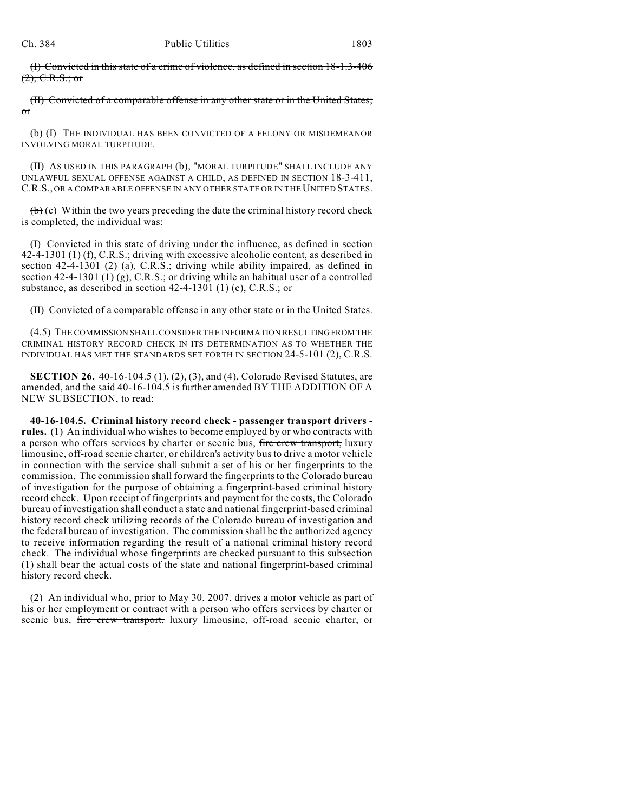(I) Convicted in this state of a crime of violence, as defined in section 18-1.3-406  $(2), C.R.S.; or$ 

(II) Convicted of a comparable offense in any other state or in the United States; or

(b) (I) THE INDIVIDUAL HAS BEEN CONVICTED OF A FELONY OR MISDEMEANOR INVOLVING MORAL TURPITUDE.

(II) AS USED IN THIS PARAGRAPH (b), "MORAL TURPITUDE" SHALL INCLUDE ANY UNLAWFUL SEXUAL OFFENSE AGAINST A CHILD, AS DEFINED IN SECTION 18-3-411, C.R.S., OR A COMPARABLE OFFENSE IN ANY OTHER STATE OR IN THE UNITED STATES.

 $(b)$  (c) Within the two years preceding the date the criminal history record check is completed, the individual was:

(I) Convicted in this state of driving under the influence, as defined in section 42-4-1301 (1) (f), C.R.S.; driving with excessive alcoholic content, as described in section 42-4-1301 (2) (a), C.R.S.; driving while ability impaired, as defined in section 42-4-1301 (1) (g), C.R.S.; or driving while an habitual user of a controlled substance, as described in section 42-4-1301 (1) (c), C.R.S.; or

(II) Convicted of a comparable offense in any other state or in the United States.

(4.5) THE COMMISSION SHALL CONSIDER THE INFORMATION RESULTING FROM THE CRIMINAL HISTORY RECORD CHECK IN ITS DETERMINATION AS TO WHETHER THE INDIVIDUAL HAS MET THE STANDARDS SET FORTH IN SECTION 24-5-101 (2), C.R.S.

**SECTION 26.** 40-16-104.5 (1), (2), (3), and (4), Colorado Revised Statutes, are amended, and the said 40-16-104.5 is further amended BY THE ADDITION OF A NEW SUBSECTION, to read:

**40-16-104.5. Criminal history record check - passenger transport drivers rules.** (1) An individual who wishes to become employed by or who contracts with a person who offers services by charter or scenic bus, fire crew transport, luxury limousine, off-road scenic charter, or children's activity bus to drive a motor vehicle in connection with the service shall submit a set of his or her fingerprints to the commission. The commission shall forward the fingerprints to the Colorado bureau of investigation for the purpose of obtaining a fingerprint-based criminal history record check. Upon receipt of fingerprints and payment for the costs, the Colorado bureau of investigation shall conduct a state and national fingerprint-based criminal history record check utilizing records of the Colorado bureau of investigation and the federal bureau of investigation. The commission shall be the authorized agency to receive information regarding the result of a national criminal history record check. The individual whose fingerprints are checked pursuant to this subsection (1) shall bear the actual costs of the state and national fingerprint-based criminal history record check.

(2) An individual who, prior to May 30, 2007, drives a motor vehicle as part of his or her employment or contract with a person who offers services by charter or scenic bus, fire crew transport, luxury limousine, off-road scenic charter, or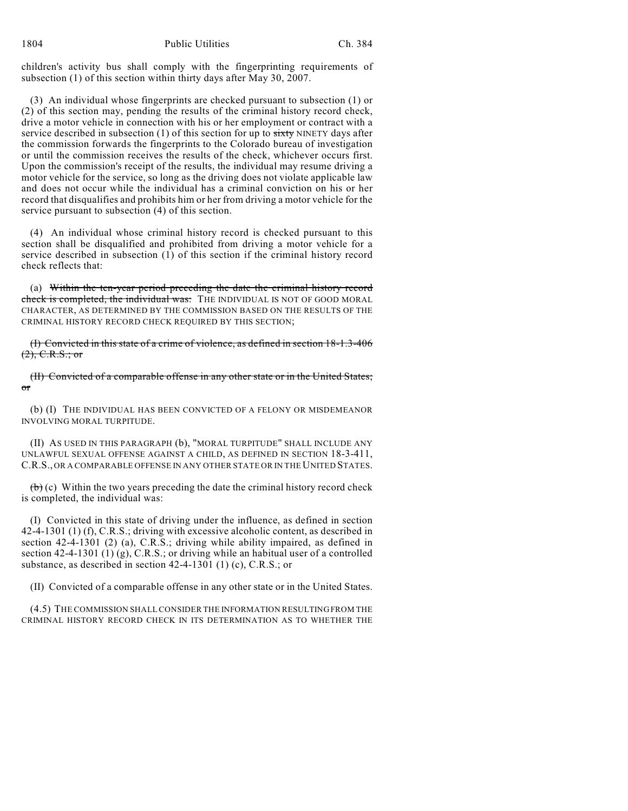children's activity bus shall comply with the fingerprinting requirements of subsection (1) of this section within thirty days after May 30, 2007.

(3) An individual whose fingerprints are checked pursuant to subsection (1) or (2) of this section may, pending the results of the criminal history record check, drive a motor vehicle in connection with his or her employment or contract with a service described in subsection  $(1)$  of this section for up to sixty NINETY days after the commission forwards the fingerprints to the Colorado bureau of investigation or until the commission receives the results of the check, whichever occurs first. Upon the commission's receipt of the results, the individual may resume driving a motor vehicle for the service, so long as the driving does not violate applicable law and does not occur while the individual has a criminal conviction on his or her record that disqualifies and prohibits him or her from driving a motor vehicle for the service pursuant to subsection (4) of this section.

(4) An individual whose criminal history record is checked pursuant to this section shall be disqualified and prohibited from driving a motor vehicle for a service described in subsection (1) of this section if the criminal history record check reflects that:

(a) Within the ten-year period preceding the date the criminal history record check is completed, the individual was: THE INDIVIDUAL IS NOT OF GOOD MORAL CHARACTER, AS DETERMINED BY THE COMMISSION BASED ON THE RESULTS OF THE CRIMINAL HISTORY RECORD CHECK REQUIRED BY THIS SECTION;

(I) Convicted in this state of a crime of violence, as defined in section 18-1.3-406  $(2), C.R.S.; or$ 

(II) Convicted of a comparable offense in any other state or in the United States; or

(b) (I) THE INDIVIDUAL HAS BEEN CONVICTED OF A FELONY OR MISDEMEANOR INVOLVING MORAL TURPITUDE.

(II) AS USED IN THIS PARAGRAPH (b), "MORAL TURPITUDE" SHALL INCLUDE ANY UNLAWFUL SEXUAL OFFENSE AGAINST A CHILD, AS DEFINED IN SECTION 18-3-411, C.R.S., OR A COMPARABLE OFFENSE IN ANY OTHER STATE OR IN THE UNITED STATES.

 $(b)$  (c) Within the two years preceding the date the criminal history record check is completed, the individual was:

(I) Convicted in this state of driving under the influence, as defined in section 42-4-1301 (1) (f), C.R.S.; driving with excessive alcoholic content, as described in section 42-4-1301 (2) (a), C.R.S.; driving while ability impaired, as defined in section  $42-4-1301$  (1) (g), C.R.S.; or driving while an habitual user of a controlled substance, as described in section 42-4-1301 (1) (c), C.R.S.; or

(II) Convicted of a comparable offense in any other state or in the United States.

(4.5) THE COMMISSION SHALL CONSIDER THE INFORMATION RESULTING FROM THE CRIMINAL HISTORY RECORD CHECK IN ITS DETERMINATION AS TO WHETHER THE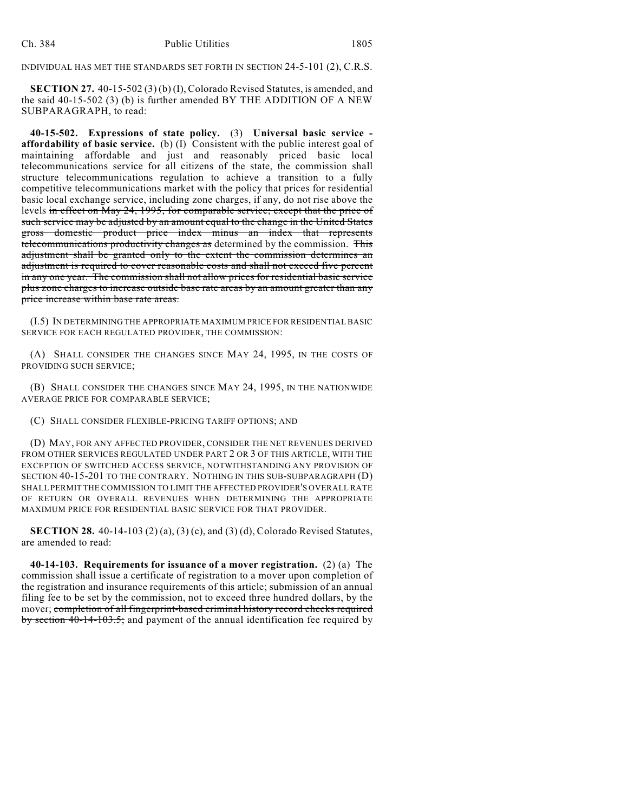INDIVIDUAL HAS MET THE STANDARDS SET FORTH IN SECTION 24-5-101 (2), C.R.S.

**SECTION 27.** 40-15-502 (3) (b) (I), Colorado Revised Statutes, is amended, and the said 40-15-502 (3) (b) is further amended BY THE ADDITION OF A NEW SUBPARAGRAPH, to read:

**40-15-502. Expressions of state policy.** (3) **Universal basic service affordability of basic service.** (b) (I) Consistent with the public interest goal of maintaining affordable and just and reasonably priced basic local telecommunications service for all citizens of the state, the commission shall structure telecommunications regulation to achieve a transition to a fully competitive telecommunications market with the policy that prices for residential basic local exchange service, including zone charges, if any, do not rise above the levels in effect on May 24, 1995, for comparable service; except that the price of such service may be adjusted by an amount equal to the change in the United States gross domestic product price index minus an index that represents telecommunications productivity changes as determined by the commission. This adjustment shall be granted only to the extent the commission determines an adjustment is required to cover reasonable costs and shall not exceed five percent in any one year. The commission shall not allow prices for residential basic service plus zone charges to increase outside base rate areas by an amount greater than any price increase within base rate areas.

(I.5) IN DETERMINING THE APPROPRIATE MAXIMUM PRICE FOR RESIDENTIAL BASIC SERVICE FOR EACH REGULATED PROVIDER, THE COMMISSION:

(A) SHALL CONSIDER THE CHANGES SINCE MAY 24, 1995, IN THE COSTS OF PROVIDING SUCH SERVICE;

(B) SHALL CONSIDER THE CHANGES SINCE MAY 24, 1995, IN THE NATIONWIDE AVERAGE PRICE FOR COMPARABLE SERVICE;

(C) SHALL CONSIDER FLEXIBLE-PRICING TARIFF OPTIONS; AND

(D) MAY, FOR ANY AFFECTED PROVIDER, CONSIDER THE NET REVENUES DERIVED FROM OTHER SERVICES REGULATED UNDER PART 2 OR 3 OF THIS ARTICLE, WITH THE EXCEPTION OF SWITCHED ACCESS SERVICE, NOTWITHSTANDING ANY PROVISION OF SECTION 40-15-201 TO THE CONTRARY. NOTHING IN THIS SUB-SUBPARAGRAPH (D) SHALL PERMIT THE COMMISSION TO LIMIT THE AFFECTED PROVIDER'S OVERALL RATE OF RETURN OR OVERALL REVENUES WHEN DETERMINING THE APPROPRIATE MAXIMUM PRICE FOR RESIDENTIAL BASIC SERVICE FOR THAT PROVIDER.

**SECTION 28.** 40-14-103 (2) (a), (3) (c), and (3) (d), Colorado Revised Statutes, are amended to read:

**40-14-103. Requirements for issuance of a mover registration.** (2) (a) The commission shall issue a certificate of registration to a mover upon completion of the registration and insurance requirements of this article; submission of an annual filing fee to be set by the commission, not to exceed three hundred dollars, by the mover; completion of all fingerprint-based criminal history record checks required by section 40-14-103.5; and payment of the annual identification fee required by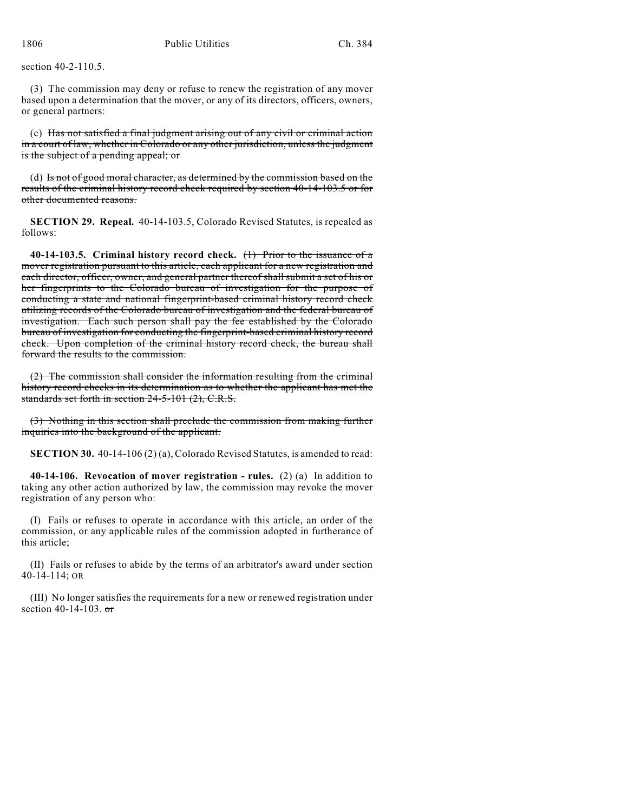section 40-2-110.5.

(3) The commission may deny or refuse to renew the registration of any mover based upon a determination that the mover, or any of its directors, officers, owners, or general partners:

(c) Has not satisfied a final judgment arising out of any civil or criminal action in a court of law, whether in Colorado or any other jurisdiction, unless the judgment is the subject of a pending appeal; or

(d) Is not of good moral character, as determined by the commission based on the results of the criminal history record check required by section 40-14-103.5 or for other documented reasons.

**SECTION 29. Repeal.** 40-14-103.5, Colorado Revised Statutes, is repealed as follows:

**40-14-103.5. Criminal history record check.** (1) Prior to the issuance of a mover registration pursuant to this article, each applicant for a new registration and each director, officer, owner, and general partner thereof shall submit a set of his or her fingerprints to the Colorado bureau of investigation for the purpose of conducting a state and national fingerprint-based criminal history record check utilizing records of the Colorado bureau of investigation and the federal bureau of investigation. Each such person shall pay the fee established by the Colorado bureau of investigation for conducting the fingerprint-based criminal history record check. Upon completion of the criminal history record check, the bureau shall forward the results to the commission.

(2) The commission shall consider the information resulting from the criminal history record checks in its determination as to whether the applicant has met the standards set forth in section 24-5-101 (2), C.R.S.

(3) Nothing in this section shall preclude the commission from making further inquiries into the background of the applicant.

**SECTION 30.** 40-14-106 (2) (a), Colorado Revised Statutes, is amended to read:

**40-14-106. Revocation of mover registration - rules.** (2) (a) In addition to taking any other action authorized by law, the commission may revoke the mover registration of any person who:

(I) Fails or refuses to operate in accordance with this article, an order of the commission, or any applicable rules of the commission adopted in furtherance of this article;

(II) Fails or refuses to abide by the terms of an arbitrator's award under section 40-14-114; OR

(III) No longer satisfies the requirements for a new or renewed registration under section  $40-14-103$ . or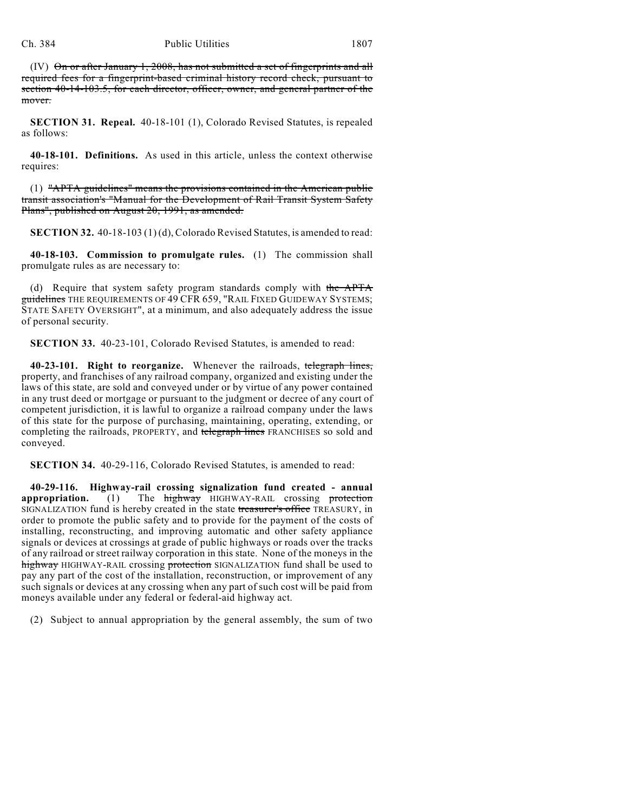## Ch. 384 Public Utilities 1807

(IV) On or after January 1, 2008, has not submitted a set of fingerprints and all required fees for a fingerprint-based criminal history record check, pursuant to section 40-14-103.5, for each director, officer, owner, and general partner of the mover.

**SECTION 31. Repeal.** 40-18-101 (1), Colorado Revised Statutes, is repealed as follows:

**40-18-101. Definitions.** As used in this article, unless the context otherwise requires:

(1) "APTA guidelines" means the provisions contained in the American public transit association's "Manual for the Development of Rail Transit System Safety Plans", published on August 20, 1991, as amended.

**SECTION 32.** 40-18-103 (1) (d), Colorado Revised Statutes, is amended to read:

**40-18-103. Commission to promulgate rules.** (1) The commission shall promulgate rules as are necessary to:

(d) Require that system safety program standards comply with the APTA guidelines THE REQUIREMENTS OF 49 CFR 659, "RAIL FIXED GUIDEWAY SYSTEMS; STATE SAFETY OVERSIGHT", at a minimum, and also adequately address the issue of personal security.

**SECTION 33.** 40-23-101, Colorado Revised Statutes, is amended to read:

**40-23-101. Right to reorganize.** Whenever the railroads, telegraph lines, property, and franchises of any railroad company, organized and existing under the laws of this state, are sold and conveyed under or by virtue of any power contained in any trust deed or mortgage or pursuant to the judgment or decree of any court of competent jurisdiction, it is lawful to organize a railroad company under the laws of this state for the purpose of purchasing, maintaining, operating, extending, or completing the railroads, PROPERTY, and telegraph lines FRANCHISES so sold and conveyed.

**SECTION 34.** 40-29-116, Colorado Revised Statutes, is amended to read:

**40-29-116. Highway-rail crossing signalization fund created - annual appropriation.** (1) The **highway** HIGHWAY-RAIL crossing protection SIGNALIZATION fund is hereby created in the state treasurer's office TREASURY, in order to promote the public safety and to provide for the payment of the costs of installing, reconstructing, and improving automatic and other safety appliance signals or devices at crossings at grade of public highways or roads over the tracks of any railroad or street railway corporation in this state. None of the moneys in the highway HIGHWAY-RAIL crossing protection SIGNALIZATION fund shall be used to pay any part of the cost of the installation, reconstruction, or improvement of any such signals or devices at any crossing when any part of such cost will be paid from moneys available under any federal or federal-aid highway act.

(2) Subject to annual appropriation by the general assembly, the sum of two